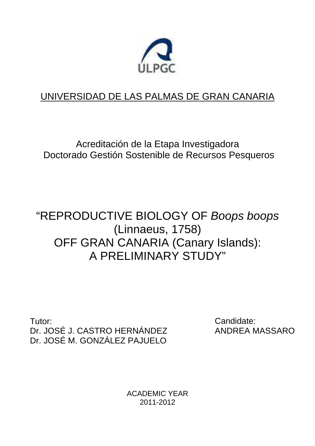

## UNIVERSIDAD DE LAS PALMAS DE GRAN CANARIA

Acreditación de la Etapa Investigadora Doctorado Gestión Sostenible de Recursos Pesqueros

# "REPRODUCTIVE BIOLOGY OF Boops boops (Linnaeus, 1758) OFF GRAN CANARIA (Canary Islands): A PRELIMINARY STUDY"

Tutor: Dr. JOSÉ J. CASTRO HERNÁNDEZ Dr. JOSÉ M. GONZÁLEZ PAJUELO

Candidate: ANDREA MASSARO

ACADEMIC YEAR 2011-2012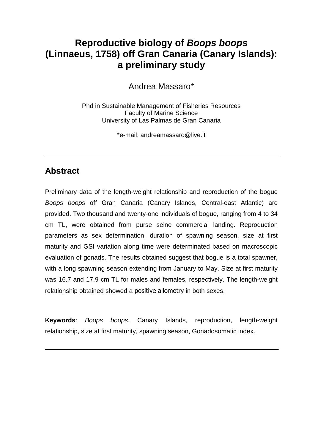### **Reproductive biology of Boops boops (Linnaeus, 1758) off Gran Canaria (Canary Islands): a preliminary study**

Andrea Massaro\*

Phd in Sustainable Management of Fisheries Resources Faculty of Marine Science University of Las Palmas de Gran Canaria

\*e-mail: andreamassaro@live.it

### **Abstract**

Preliminary data of the length-weight relationship and reproduction of the bogue Boops boops off Gran Canaria (Canary Islands, Central-east Atlantic) are provided. Two thousand and twenty-one individuals of bogue, ranging from 4 to 34 cm TL, were obtained from purse seine commercial landing. Reproduction parameters as sex determination, duration of spawning season, size at first maturity and GSI variation along time were determinated based on macroscopic evaluation of gonads. The results obtained suggest that bogue is a total spawner, with a long spawning season extending from January to May. Size at first maturity was 16.7 and 17.9 cm TL for males and females, respectively. The length-weight relationship obtained showed a positive allometry in both sexes.

**Keywords**: Boops boops, Canary Islands, reproduction, length-weight relationship, size at first maturity, spawning season, Gonadosomatic index.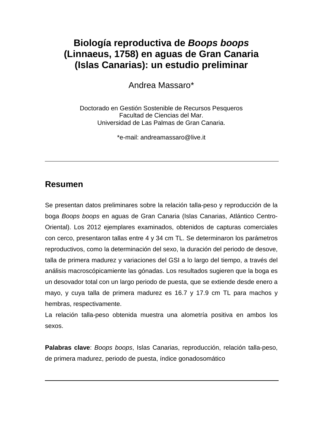### **Biología reproductiva de Boops boops (Linnaeus, 1758) en aguas de Gran Canaria (Islas Canarias): un estudio preliminar**

Andrea Massaro\*

Doctorado en Gestión Sostenible de Recursos Pesqueros Facultad de Ciencias del Mar. Universidad de Las Palmas de Gran Canaria.

\*e-mail: andreamassaro@live.it

### **Resumen**

Se presentan datos preliminares sobre la relación talla-peso y reproducción de la boga Boops boops en aguas de Gran Canaria (Islas Canarias, Atlántico Centro-Oriental). Los 2012 ejemplares examinados, obtenidos de capturas comerciales con cerco, presentaron tallas entre 4 y 34 cm TL. Se determinaron los parámetros reproductivos, como la determinación del sexo, la duración del periodo de desove, talla de primera madurez y variaciones del GSI a lo largo del tiempo, a través del análisis macroscópicamiente las gónadas. Los resultados sugieren que la boga es un desovador total con un largo periodo de puesta, que se extiende desde enero a mayo, y cuya talla de primera madurez es 16.7 y 17.9 cm TL para machos y hembras, respectivamente.

La relación talla-peso obtenida muestra una alometría positiva en ambos los sexos.

**Palabras clave**: Boops boops, Islas Canarias, reproducción, relación talla-peso, de primera madurez, periodo de puesta, índice gonadosomático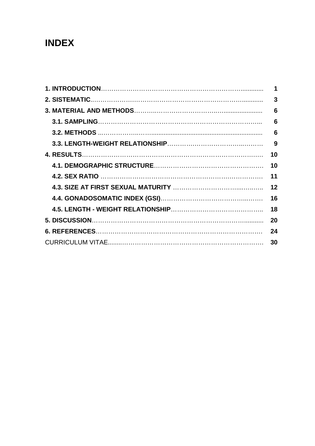## **INDEX**

| 1  |
|----|
| 3  |
| 6  |
| 6  |
| 6  |
| 9  |
| 10 |
| 10 |
| 11 |
| 12 |
| 16 |
| 18 |
| 20 |
| 24 |
| 30 |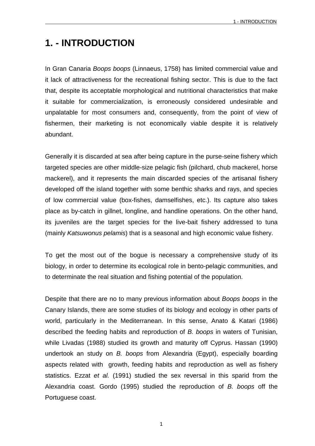## **1. - INTRODUCTION**

In Gran Canaria Boops boops (Linnaeus, 1758) has limited commercial value and it lack of attractiveness for the recreational fishing sector. This is due to the fact that, despite its acceptable morphological and nutritional characteristics that make it suitable for commercialization, is erroneously considered undesirable and unpalatable for most consumers and, consequently, from the point of view of fishermen, their marketing is not economically viable despite it is relatively abundant.

Generally it is discarded at sea after being capture in the purse-seine fishery which targeted species are other middle-size pelagic fish (pilchard, chub mackerel, horse mackerel), and it represents the main discarded species of the artisanal fishery developed off the island together with some benthic sharks and rays, and species of low commercial value (box-fishes, damselfishes, etc.). Its capture also takes place as by-catch in gillnet, longline, and handline operations. On the other hand, its juveniles are the target species for the live-bait fishery addressed to tuna (mainly Katsuwonus pelamis) that is a seasonal and high economic value fishery.

To get the most out of the bogue is necessary a comprehensive study of its biology, in order to determine its ecological role in bento-pelagic communities, and to determinate the real situation and fishing potential of the population.

Despite that there are no to many previous information about Boops boops in the Canary Islands, there are some studies of its biology and ecology in other parts of world, particularly in the Mediterranean. In this sense, Anato & Katari (1986) described the feeding habits and reproduction of B. boops in waters of Tunisian, while Livadas (1988) studied its growth and maturity off Cyprus. Hassan (1990) undertook an study on B. boops from Alexandria (Egypt), especially boarding aspects related with growth, feeding habits and reproduction as well as fishery statistics. Ezzat et al. (1991) studied the sex reversal in this sparid from the Alexandria coast. Gordo (1995) studied the reproduction of B. boops off the Portuguese coast.

1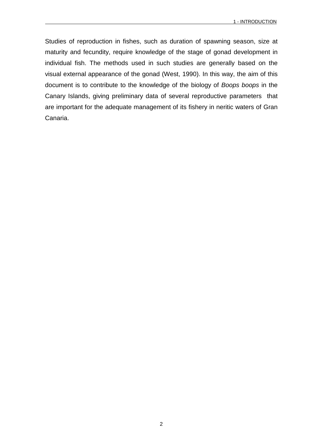Studies of reproduction in fishes, such as duration of spawning season, size at maturity and fecundity, require knowledge of the stage of gonad development in individual fish. The methods used in such studies are generally based on the visual external appearance of the gonad (West, 1990). In this way, the aim of this document is to contribute to the knowledge of the biology of Boops boops in the Canary Islands, giving preliminary data of several reproductive parameters that are important for the adequate management of its fishery in neritic waters of Gran Canaria.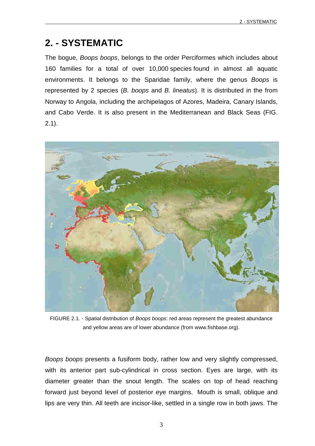## **2. - SYSTEMATIC**

The bogue, Boops boops, belongs to the order Perciformes which includes about 160 families for a total of over 10,000 species found in almost all aquatic environments. It belongs to the Sparidae family, where the genus Boops is represented by 2 species (B. boops and B. lineatus). It is distributed in the from Norway to Angola, including the archipelagos of Azores, Madeira, Canary Islands, and Cabo Verde. It is also present in the Mediterranean and Black Seas (FIG. 2.1).



FIGURE 2.1. - Spatial distribution of Boops boops: red areas represent the greatest abundance and yellow areas are of lower abundance (from www.fishbase.org).

Boops boops presents a fusiform body, rather low and very slightly compressed, with its anterior part sub-cylindrical in cross section. Eyes are large, with its diameter greater than the snout length. The scales on top of head reaching forward just beyond level of posterior eye margins. Mouth is small, oblique and lips are very thin. All teeth are incisor-like, settled in a single row in both jaws. The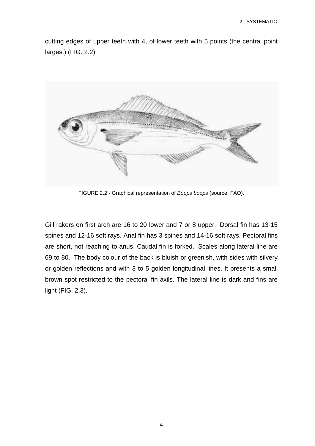cutting edges of upper teeth with 4, of lower teeth with 5 points (the central point largest) (FIG. 2.2).



FIGURE 2.2 - Graphical representation of Boops boops (source: FAO).

Gill rakers on first arch are 16 to 20 lower and 7 or 8 upper. Dorsal fin has 13-15 spines and 12-16 soft rays. Anal fin has 3 spines and 14-16 soft rays. Pectoral fins are short, not reaching to anus. Caudal fin is forked. Scales along lateral line are 69 to 80. The body colour of the back is bluish or greenish, with sides with silvery or golden reflections and with 3 to 5 golden longitudinal lines. It presents a small brown spot restricted to the pectoral fin axils. The lateral line is dark and fins are light (FIG. 2.3).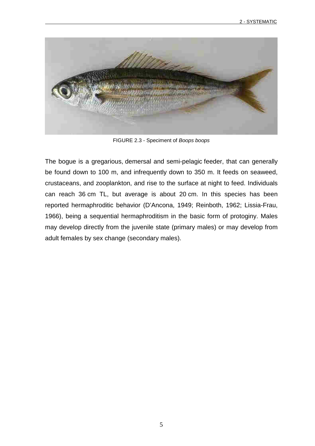

FIGURE 2.3 - Speciment of Boops boops

The bogue is a gregarious, demersal and semi-pelagic feeder, that can generally be found down to 100 m, and infrequently down to 350 m. It feeds on seaweed, crustaceans, and zooplankton, and rise to the surface at night to feed. Individuals can reach 36 cm TL, but average is about 20 cm. In this species has been reported hermaphroditic behavior (D'Ancona, 1949; Reinboth, 1962; Lissia-Frau, 1966), being a sequential hermaphroditism in the basic form of protoginy. Males may develop directly from the juvenile state (primary males) or may develop from adult females by sex change (secondary males).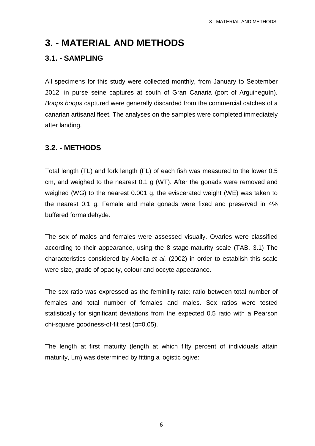### **3. - MATERIAL AND METHODS**

#### **3.1. - SAMPLING**

All specimens for this study were collected monthly, from January to September 2012, in purse seine captures at south of Gran Canaria (port of Arguineguín). Boops boops captured were generally discarded from the commercial catches of a canarian artisanal fleet. The analyses on the samples were completed immediately after landing.

#### **3.2. - METHODS**

Total length (TL) and fork length (FL) of each fish was measured to the lower 0.5 cm, and weighed to the nearest 0.1 g (WT). After the gonads were removed and weighed (WG) to the nearest 0.001 g, the eviscerated weight (WE) was taken to the nearest 0.1 g. Female and male gonads were fixed and preserved in 4% buffered formaldehyde.

The sex of males and females were assessed visually. Ovaries were classified according to their appearance, using the 8 stage-maturity scale (TAB. 3.1) The characteristics considered by Abella et al. (2002) in order to establish this scale were size, grade of opacity, colour and oocyte appearance.

The sex ratio was expressed as the feminility rate: ratio between total number of females and total number of females and males. Sex ratios were tested statistically for significant deviations from the expected 0.5 ratio with a Pearson chi-square goodness-of-fit test  $(\alpha=0.05)$ .

The length at first maturity (length at which fifty percent of individuals attain maturity, Lm) was determined by fitting a logistic ogive:

6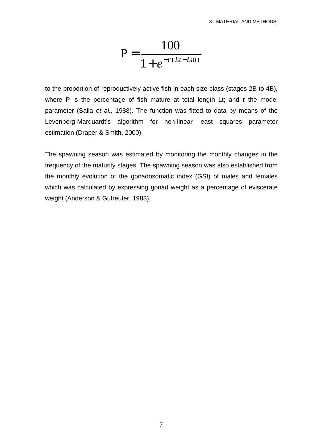$$
P = \frac{100}{1 + e^{-r(Lt - Lm)}}
$$

to the proportion of reproductively active fish in each size class (stages 2B to 4B), where P is the percentage of fish mature at total length Lt; and r the model parameter (Saila et al., 1988). The function was fitted to data by means of the Levenberg-Marquardt's algorithm for non-linear least squares parameter estimation (Draper & Smith, 2000).

The spawning season was estimated by monitoring the monthly changes in the frequency of the maturity stages. The spawning season was also established from the monthly evolution of the gonadosomatic index (GSI) of males and females which was calculated by expressing gonad weight as a percentage of eviscerate weight (Anderson & Gutreuter, 1983).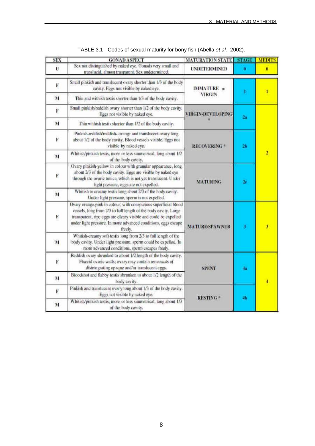| SEX          | <b>GONAD ASPECT</b>                                                                                                                                                                                                                                                                | <b>MATURATION STATE</b> | <b>STAGE</b> | <b>MEDITS</b>           |
|--------------|------------------------------------------------------------------------------------------------------------------------------------------------------------------------------------------------------------------------------------------------------------------------------------|-------------------------|--------------|-------------------------|
| Ù            | Sex not distinguished by maked eye. Gonads very small and<br>translucid, almost trasparent. Sex undetermined.                                                                                                                                                                      | <b>UNDETERMINED</b>     | a            | o                       |
| F            | Small pinkish and translucent ovary shorter than 1/3 of the body<br>cavity. Eggs not visible by naked eye.                                                                                                                                                                         | $IMMATURE =$            |              | r                       |
| $\mathbf{M}$ | Thin and withish testis shorter than 1/3 of the body eavity.                                                                                                                                                                                                                       | VIRGIN                  |              |                         |
| F            | Small pinkish/reddish ovary shorter than 1/2 of the body cavity.<br>Eggs not visible by naked eye.                                                                                                                                                                                 | VIRGIN-DEVELOPING       | 2a           |                         |
| M            | Thin withish testis shorter than 1/2 of the body cavity,                                                                                                                                                                                                                           |                         |              |                         |
| F            | Pinkish-reddish/reddish- orange and translucent ovary long<br>about 1/2 of the body cavity. Blood vessels visible. Eggs not<br>visible by naked eye.                                                                                                                               | <b>RECOVERING *</b>     | 2b           |                         |
| M            | Whitish/pinkish testis, more or less simmetrical, long about 1/2<br>of the body cavity.                                                                                                                                                                                            |                         |              | 2                       |
| $\bf F$      | Ovary pinkish-yellow in colour with granular appearance, long<br>about 2/3 of the body cavity. Eggs are visible by naked eye<br>through the ovaric tunica, which is not yet translucent. Under<br>light pressure, eggs are not expelled.                                           | <b>MATURING</b>         | $2\sigma$    |                         |
| M            | Whitish to creamy testis long about 2/3 of the body cavity.<br>Under light pressure, sperm is not expelled.                                                                                                                                                                        |                         |              |                         |
| F            | Ovary orange-pink in colour, with conspicious superficial blood<br>vessels, long from 2/3 to full length of the body cavity. Large<br>transparent, ripe eggs are cleary visible and could be expelled<br>under light pressure. In more advanced conditions, eggs escape<br>freely. | <b>MATURE/SPAWNER</b>   | F            | $\overline{\mathbf{3}}$ |
| $\mathbf{M}$ | Whitish-creamy soft testis long from 2/3 to full length of the<br>body cavity. Under light pressure, sperm could be expelled. In<br>more advanced conditions, sperm escapes freely.                                                                                                |                         |              |                         |
| P.           | Reddish ovary shrunked to about 1/2 length of the body cavity.<br>Flaccid ovaric walls; ovary may contain remanants of<br>disintegrating opaque and/or translucent eggs.                                                                                                           | <b>SPENT</b>            | 46           |                         |
| M            | Bloodshot and flabby testis shrunken to about 1/2 length of the<br>hody cavity.                                                                                                                                                                                                    |                         |              | 4                       |
| F            | Pinkish and translucent ovary long about 1/3 of the body cavity.<br>Figgs not visible by naked eye.                                                                                                                                                                                | RESTING®                | 4h           |                         |
| M            | Whitish/pinkish testis, more or less simmetrical, long about 1/3<br>of the body cavity,                                                                                                                                                                                            |                         |              |                         |

TABLE 3.1 - Codes of sexual maturity for bony fish (Abella et al., 2002).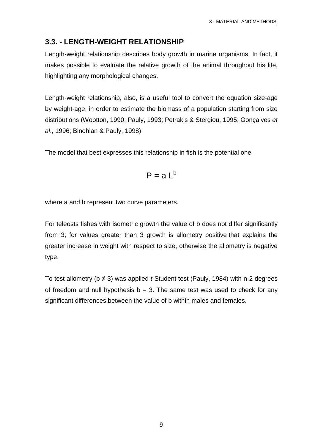### **3.3. - LENGTH-WEIGHT RELATIONSHIP**

Length-weight relationship describes body growth in marine organisms. In fact, it makes possible to evaluate the relative growth of the animal throughout his life, highlighting any morphological changes.

Length-weight relationship, also, is a useful tool to convert the equation size-age by weight-age, in order to estimate the biomass of a population starting from size distributions (Wootton, 1990; Pauly, 1993; Petrakis & Stergiou, 1995; Gonçalves et al., 1996; Binohlan & Pauly, 1998).

The model that best expresses this relationship in fish is the potential one

$$
P = a L^b
$$

where a and b represent two curve parameters.

For teleosts fishes with isometric growth the value of b does not differ significantly from 3; for values greater than 3 growth is allometry positive that explains the greater increase in weight with respect to size, otherwise the allometry is negative type.

To test allometry ( $b \neq 3$ ) was applied *t*-Student test (Pauly, 1984) with n-2 degrees of freedom and null hypothesis  $b = 3$ . The same test was used to check for any significant differences between the value of b within males and females.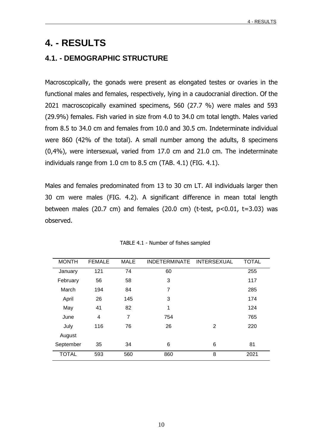### **4. - RESULTS**

### **4.1. - DEMOGRAPHIC STRUCTURE**

Macroscopically, the gonads were present as elongated testes or ovaries in the functional males and females, respectively, lying in a caudocranial direction. Of the 2021 macroscopically examined specimens, 560 (27.7 %) were males and 593 (29.9%) females. Fish varied in size from 4.0 to 34.0 cm total length. Males varied from 8.5 to 34.0 cm and females from 10.0 and 30.5 cm. Indeterminate individual were 860 (42% of the total). A small number among the adults, 8 specimens (0,4%), were intersexual, varied from 17.0 cm and 21.0 cm. The indeterminate individuals range from 1.0 cm to 8.5 cm (TAB. 4.1) (FIG. 4.1).

Males and females predominated from 13 to 30 cm LT. All individuals larger then 30 cm were males (FIG. 4.2). A significant difference in mean total length between males (20.7 cm) and females (20.0 cm) (t-test,  $p<0.01$ ,  $t=3.03$ ) was observed.

| <b>MONTH</b> | <b>FEMALE</b> | <b>MALE</b> | <b>INDETERMINATE</b> | <b>INTERSEXUAL</b> | <b>TOTAL</b> |
|--------------|---------------|-------------|----------------------|--------------------|--------------|
| January      | 121           | 74          | 60                   |                    | 255          |
| February     | 56            | 58          | 3                    |                    | 117          |
| March        | 194           | 84          | 7                    |                    | 285          |
| April        | 26            | 145         | 3                    |                    | 174          |
| May          | 41            | 82          | 1                    |                    | 124          |
| June         | 4             | 7           | 754                  |                    | 765          |
| July         | 116           | 76          | 26                   | 2                  | 220          |
| August       |               |             |                      |                    |              |
| September    | 35            | 34          | 6                    | 6                  | 81           |
| <b>TOTAL</b> | 593           | 560         | 860                  | 8                  | 2021         |

TABLE 4.1 - Number of fishes sampled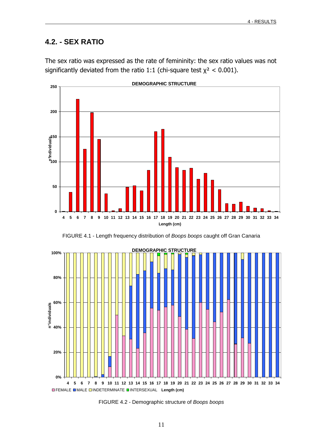### **4.2. - SEX RATIO**

The sex ratio was expressed as the rate of femininity: the sex ratio values was not significantly deviated from the ratio 1:1 (chi-square test  $\chi^2$  < 0.001).







FIGURE 4.2 - Demographic structure of Boops boops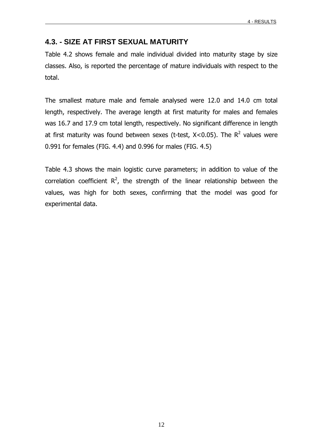#### **4.3. - SIZE AT FIRST SEXUAL MATURITY**

Table 4.2 shows female and male individual divided into maturity stage by size classes. Also, is reported the percentage of mature individuals with respect to the total.

The smallest mature male and female analysed were 12.0 and 14.0 cm total length, respectively. The average length at first maturity for males and females was 16.7 and 17.9 cm total length, respectively. No significant difference in length at first maturity was found between sexes (t-test,  $X< 0.05$ ). The  $R^2$  values were 0.991 for females (FIG. 4.4) and 0.996 for males (FIG. 4.5)

Table 4.3 shows the main logistic curve parameters; in addition to value of the correlation coefficient  $R^2$ , the strength of the linear relationship between the values, was high for both sexes, confirming that the model was good for experimental data.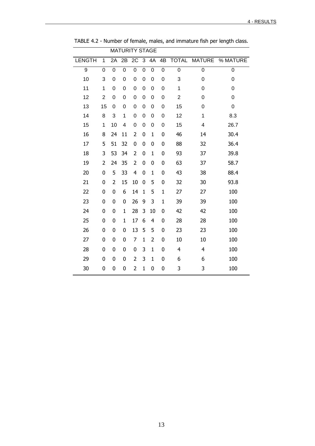| % MATURE                                                           |
|--------------------------------------------------------------------|
|                                                                    |
|                                                                    |
|                                                                    |
|                                                                    |
|                                                                    |
|                                                                    |
|                                                                    |
| 26.7                                                               |
| 30.4                                                               |
| 36.4                                                               |
| 39.8                                                               |
| 58.7                                                               |
| 88.4                                                               |
| 93.8                                                               |
|                                                                    |
|                                                                    |
|                                                                    |
|                                                                    |
|                                                                    |
|                                                                    |
|                                                                    |
|                                                                    |
|                                                                    |
| 8.3<br>100<br>100<br>100<br>100<br>100<br>100<br>100<br>100<br>100 |

TABLE 4.2 - Number of female, males, and immature fish per length class.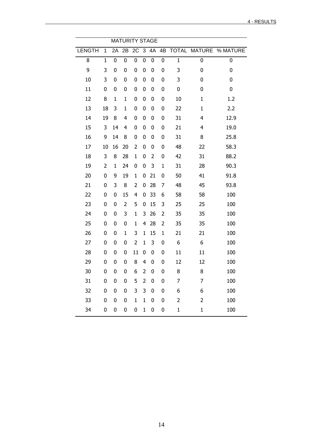|               | <b>MATURITY STAGE</b> |    |                |                |                |                  |              |                |                |                                  |
|---------------|-----------------------|----|----------------|----------------|----------------|------------------|--------------|----------------|----------------|----------------------------------|
| <b>LENGTH</b> | 1                     |    | 2A 2B          |                |                |                  |              |                |                | 2C 3 4A 4B TOTAL MATURE % MATURE |
| 8             | $\mathbf{1}$          | 0  | $\mathbf 0$    | $\mathbf 0$    | $\mathbf 0$    | $\mathbf 0$      | $\mathbf 0$  | $\mathbf 1$    | 0              | 0                                |
| 9             | 3                     | 0  | $\mathbf 0$    | 0              | $\mathbf 0$    | $\mathbf 0$      | 0            | 3              | 0              | 0                                |
| 10            | 3                     | 0  | 0              | 0              | 0              | 0                | 0            | 3              | 0              | 0                                |
| 11            | 0                     | 0  | 0              | 0              | 0              | 0                | 0            | 0              | 0              | 0                                |
| 12            | 8                     | 1  | $\mathbf{1}$   | 0              | $\bf{0}$       | 0                | 0            | 10             | $\mathbf{1}$   | 1.2                              |
| 13            | 18                    | 3  | $\mathbf 1$    | 0              | 0              | 0                | 0            | 22             | $\mathbf{1}$   | 2.2                              |
| 14            | 19                    | 8  | 4              | 0              | $\bf{0}$       | 0                | 0            | 31             | 4              | 12.9                             |
| 15            | 3                     | 14 | 4              | 0              | 0              | 0                | 0            | 21             | 4              | 19.0                             |
| 16            | 9                     | 14 | 8              | 0              | $\bf{0}$       | 0                | 0            | 31             | 8              | 25.8                             |
| 17            | 10                    | 16 | 20             | 2              | $\bf{0}$       | 0                | 0            | 48             | 22             | 58.3                             |
| 18            | 3                     | 8  | 28             | $\mathbf{1}$   | $\bf{0}$       | 2                | 0            | 42             | 31             | 88.2                             |
| 19            | $\overline{2}$        | 1  | 24             | 0              | $\bf{0}$       | 3                | $\mathbf{1}$ | 31             | 28             | 90.3                             |
| 20            | 0                     | 9  | 19             | $\mathbf{1}$   | 0              | 21               | 0            | 50             | 41             | 91.8                             |
| 21            | 0                     | 3  | 8              | 2              | 0              | 28               | 7            | 48             | 45             | 93.8                             |
| 22            | 0                     | 0  | 15             | 4              | 0              | 33               | 6            | 58             | 58             | 100                              |
| 23            | 0                     | 0  | $\overline{2}$ | 5              | $\bf{0}$       | 15               | 3            | 25             | 25             | 100                              |
| 24            | 0                     | 0  | 3              | $\mathbf{1}$   | 3              | 26               | 2            | 35             | 35             | 100                              |
| 25            | 0                     | 0  | 0              | 1              | 4              | 28               | 2            | 35             | 35             | 100                              |
| 26            | 0                     | 0  | $\mathbf 1$    | 3              | 1              | 15               | $\mathbf{1}$ | 21             | 21             | 100                              |
| 27            | 0                     | 0  | 0              | $\overline{2}$ | $\mathbf{1}$   | 3                | 0            | 6              | 6              | 100                              |
| 28            | 0                     | 0  | 0              | 11             | 0              | 0                | 0            | 11             | 11             | 100                              |
| 29            | 0                     | 0  | 0              | 8              | $\overline{4}$ | 0                | 0            | 12             | 12             | 100                              |
| 30            | 0                     | 0  | $\pmb{0}$      | 6              | $\overline{2}$ | 0                | 0            | 8              | 8              | 100                              |
| 31            | 0                     | 0  | 0              | 5              | $\overline{2}$ | $\boldsymbol{0}$ | 0            | 7              | 7              | 100                              |
| 32            | $\pmb{0}$             | 0  | $\pmb{0}$      | 3              | 3              | $\mathbf 0$      | $\pmb{0}$    | 6              | 6              | 100                              |
| 33            | $\pmb{0}$             | 0  | $\mathbf 0$    | $\mathbf{1}$   | $\mathbf{1}$   | $\pmb{0}$        | 0            | $\overline{2}$ | $\overline{2}$ | 100                              |
| 34            | 0                     | 0  | $\pmb{0}$      | 0              | $\mathbf{1}$   | $\pmb{0}$        | 0            | $\mathbf{1}$   | $\mathbf 1$    | 100                              |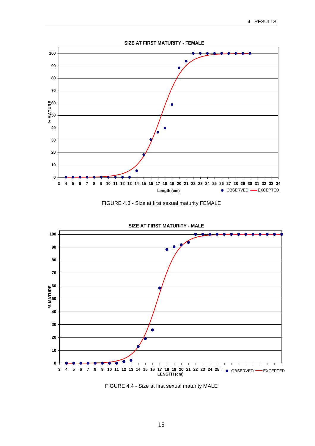





FIGURE 4.4 - Size at first sexual maturity MALE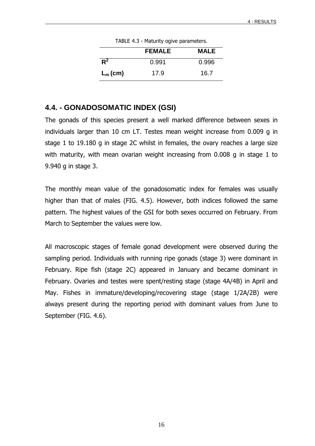|            | <b>I ADLL 7.3</b> - Platurity Ogive parameters. |             |  |  |
|------------|-------------------------------------------------|-------------|--|--|
|            | <b>FEMALE</b>                                   | <b>MALE</b> |  |  |
| $R^2$      | 0.991                                           | 0.996       |  |  |
| $L_m$ (cm) | 17.9                                            | 16.7        |  |  |

TABLE 4.3 - Maturity ogive parameters.

#### **4.4. - GONADOSOMATIC INDEX (GSI)**

The gonads of this species present a well marked difference between sexes in individuals larger than 10 cm LT. Testes mean weight increase from 0.009 g in stage 1 to 19.180 g in stage 2C whilst in females, the ovary reaches a large size with maturity, with mean ovarian weight increasing from 0.008 g in stage 1 to 9.940 g in stage 3.

The monthly mean value of the gonadosomatic index for females was usually higher than that of males (FIG. 4.5). However, both indices followed the same pattern. The highest values of the GSI for both sexes occurred on February. From March to September the values were low.

All macroscopic stages of female gonad development were observed during the sampling period. Individuals with running ripe gonads (stage 3) were dominant in February. Ripe fish (stage 2C) appeared in January and became dominant in February. Ovaries and testes were spent/resting stage (stage 4A/4B) in April and May. Fishes in immature/developing/recovering stage (stage 1/2A/2B) were always present during the reporting period with dominant values from June to September (FIG. 4.6).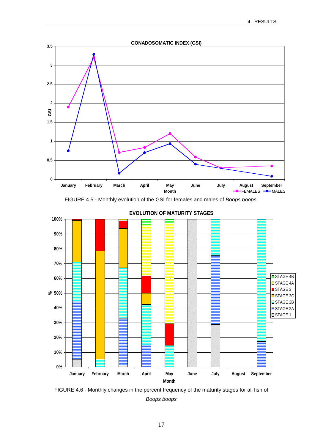

FIGURE 4.5 - Monthly evolution of the GSI for females and males of Boops boops.



FIGURE 4.6 - Monthly changes in the percent frequency of the maturity stages for all fish of Boops boops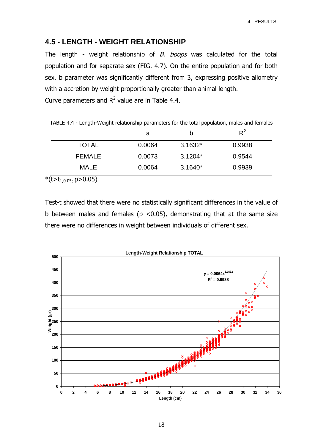#### **4.5 - LENGTH - WEIGHT RELATIONSHIP**

The length - weight relationship of  $B$ . boops was calculated for the total population and for separate sex (FIG. 4.7). On the entire population and for both sex, b parameter was significantly different from 3, expressing positive allometry with a accretion by weight proportionally greater than animal length. Curve parameters and  $R^2$  value are in Table 4.4.

|                                  | a      | b         | $R^2$  |
|----------------------------------|--------|-----------|--------|
| <b>TOTAL</b>                     | 0.0064 | $3.1632*$ | 0.9938 |
| <b>FEMALE</b>                    | 0.0073 | $3.1204*$ | 0.9544 |
| <b>MALE</b>                      | 0.0064 | $3.1640*$ | 0.9939 |
| *(t>t <sub>1,0.05;</sub> p>0.05) |        |           |        |

TABLE 4.4 - Length-Weight relationship parameters for the total population, males and females

Test-t showed that there were no statistically significant differences in the value of b between males and females ( $p$  <0.05), demonstrating that at the same size there were no differences in weight between individuals of different sex.

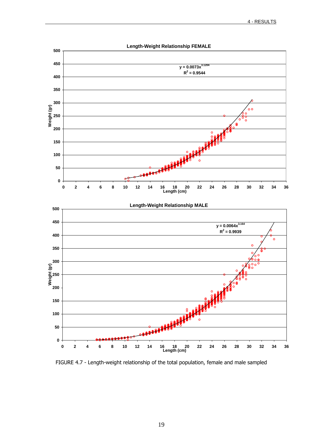

FIGURE 4.7 - Length-weight relationship of the total population, female and male sampled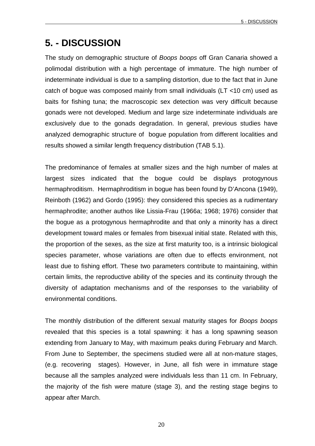### **5. - DISCUSSION**

The study on demographic structure of Boops boops off Gran Canaria showed a polimodal distribution with a high percentage of immature. The high number of indeterminate individual is due to a sampling distortion, due to the fact that in June catch of bogue was composed mainly from small individuals (LT <10 cm) used as baits for fishing tuna; the macroscopic sex detection was very difficult because gonads were not developed. Medium and large size indeterminate individuals are exclusively due to the gonads degradation. In general, previous studies have analyzed demographic structure of bogue population from different localities and results showed a similar length frequency distribution (TAB 5.1).

The predominance of females at smaller sizes and the high number of males at largest sizes indicated that the bogue could be displays protogynous hermaphroditism. Hermaphroditism in bogue has been found by D'Ancona (1949), Reinboth (1962) and Gordo (1995): they considered this species as a rudimentary hermaphrodite; another authos like Lissia-Frau (1966a; 1968; 1976) consider that the bogue as a protogynous hermaphrodite and that only a minority has a direct development toward males or females from bisexual initial state. Related with this, the proportion of the sexes, as the size at first maturity too, is a intrinsic biological species parameter, whose variations are often due to effects environment, not least due to fishing effort. These two parameters contribute to maintaining, within certain limits, the reproductive ability of the species and its continuity through the diversity of adaptation mechanisms and of the responses to the variability of environmental conditions.

The monthly distribution of the different sexual maturity stages for Boops boops revealed that this species is a total spawning: it has a long spawning season extending from January to May, with maximum peaks during February and March. From June to September, the specimens studied were all at non-mature stages, (e.g. recovering stages). However, in June, all fish were in immature stage because all the samples analyzed were individuals less than 11 cm. In February, the majority of the fish were mature (stage 3), and the resting stage begins to appear after March.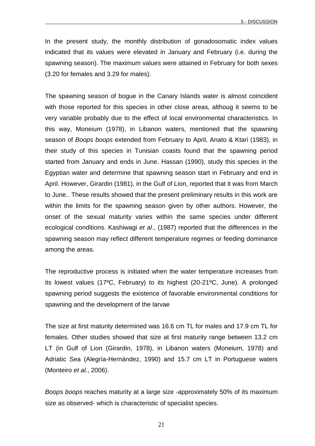In the present study, the monthly distribution of gonadosomatic index values indicated that its values were elevated in January and February (i.e. during the spawning season). The maximum values were attained in February for both sexes (3.20 for females and 3.29 for males).

The spawning season of bogue in the Canary Islands water is almost coincident with those reported for this species in other close areas, althoug it seems to be very variable probably due to the effect of local environmental characteristics. In this way, Moneium (1978), in Libanon waters, mentioned that the spawning season of Boops boops extended from February to April, Anato & Ktari (1983), in their study of this species in Tunisian coasts found that the spawning period started from January and ends in June. Hassan (1990), study this species in the Egyptian water and determine that spawning season start in February and end in April. However, Girardin (1981), in the Gulf of Lion, reported that it was from March to June.. These results showed that the present preliminary results in this work are within the limits for the spawning season given by other authors. However, the onset of the sexual maturity varies within the same species under different ecological conditions. Kashiwagi et al., (1987) reported that the differences in the spawning season may reflect different temperature regimes or feeding dominance among the areas.

The reproductive process is initiated when the water temperature increases from its lowest values (17ºC, February) to its highest (20-21ºC, June). A prolonged spawning period suggests the existence of favorable environmental conditions for spawning and the development of the larvae

The size at first maturity determined was 16.6 cm TL for males and 17.9 cm TL for females. Other studies showed that size at first maturity range between 13.2 cm LT (in Gulf of Lion (Girardin, 1978), in Libanon waters (Moneium, 1978) and Adriatic Sea (Alegría-Hernández, 1990) and 15.7 cm LT in Portuguese waters (Monteiro et al., 2006).

Boops boops reaches maturity at a large size -approximately 50% of its maximum size as observed- which is characteristic of specialist species.

21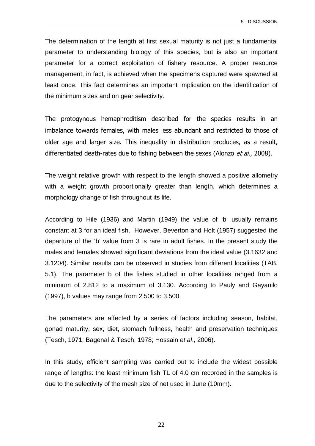The determination of the length at first sexual maturity is not just a fundamental parameter to understanding biology of this species, but is also an important parameter for a correct exploitation of fishery resource. A proper resource management, in fact, is achieved when the specimens captured were spawned at least once. This fact determines an important implication on the identification of the minimum sizes and on gear selectivity.

The protogynous hemaphroditism described for the species results in an imbalance towards females, with males less abundant and restricted to those of older age and larger size. This inequality in distribution produces, as a result, differentiated death-rates due to fishing between the sexes (Alonzo et al., 2008).

The weight relative growth with respect to the length showed a positive allometry with a weight growth proportionally greater than length, which determines a morphology change of fish throughout its life.

According to Hile (1936) and Martin (1949) the value of 'b' usually remains constant at 3 for an ideal fish. However, Beverton and Holt (1957) suggested the departure of the 'b' value from 3 is rare in adult fishes. In the present study the males and females showed significant deviations from the ideal value (3.1632 and 3.1204). Similar results can be observed in studies from different localities (TAB. 5.1). The parameter b of the fishes studied in other localities ranged from a minimum of 2.812 to a maximum of 3.130. According to Pauly and Gayanilo (1997), b values may range from 2.500 to 3.500.

The parameters are affected by a series of factors including season, habitat, gonad maturity, sex, diet, stomach fullness, health and preservation techniques (Tesch, 1971; Bagenal & Tesch, 1978; Hossain et al., 2006).

In this study, efficient sampling was carried out to include the widest possible range of lengths: the least minimum fish TL of 4.0 cm recorded in the samples is due to the selectivity of the mesh size of net used in June (10mm).

22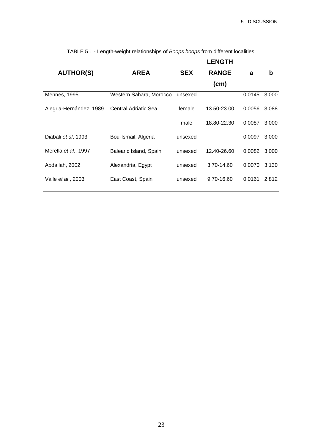|                              |                         |            | <b>LENGTH</b> |        |       |
|------------------------------|-------------------------|------------|---------------|--------|-------|
| <b>AUTHOR(S)</b>             | <b>AREA</b>             | <b>SEX</b> | <b>RANGE</b>  | a      | b     |
|                              |                         |            | (cm)          |        |       |
| Mennes, 1995                 | Western Sahara, Morocco | unsexed    |               | 0.0145 | 3.000 |
| Alegria-Hernández, 1989      | Central Adriatic Sea    | female     | 13.50-23.00   | 0.0056 | 3.088 |
|                              |                         | male       | 18.80-22.30   | 0.0087 | 3.000 |
| Diabali et al, 1993          | Bou-Ismail, Algeria     | unsexed    |               | 0.0097 | 3.000 |
| Merella <i>et al.</i> , 1997 | Balearic Island, Spain  | unsexed    | 12.40-26.60   | 0.0082 | 3.000 |
| Abdallah, 2002               | Alexandria, Egypt       | unsexed    | 3.70-14.60    | 0.0070 | 3.130 |
| Valle et al., 2003           | East Coast, Spain       | unsexed    | 9.70-16.60    | 0.0161 | 2.812 |

TABLE 5.1 - Length-weight relationships of Boops boops from different localities.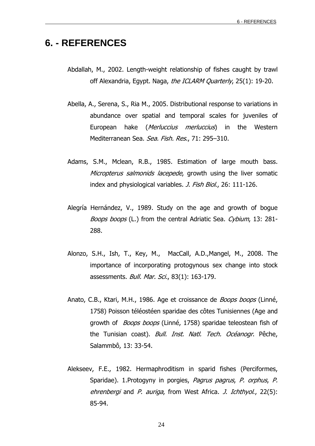### **6. - REFERENCES**

- Abdallah, M., 2002. Length-weight relationship of fishes caught by trawl off Alexandria, Egypt. Naga, the ICLARM Quarterly, 25(1): 19-20.
- Abella, A., Serena, S., Ria M., 2005. Distributional response to variations in abundance over spatial and temporal scales for juveniles of European hake (*Merluccius merluccius*) in the Western Mediterranean Sea. Sea. Fish. Res., 71: 295-310.
- Adams, S.M., Mclean, R.B., 1985. Estimation of large mouth bass. Micropterus salmonids lacepede, growth using the liver somatic index and physiological variables. *J. Fish Biol.*, 26: 111-126.
- Alegría Hernández, V., 1989. Study on the age and growth of bogue Boops boops (L.) from the central Adriatic Sea. Cybium, 13: 281-288.
- Alonzo, S.H., Ish, T., Key, M., MacCall, A.D.,Mangel, M., 2008. The importance of incorporating protogynous sex change into stock assessments. Bull. Mar. Sci., 83(1): 163-179.
- Anato, C.B., Ktari, M.H., 1986. Age et croissance de *Boops boops* (Linné, 1758) Poisson téléostéen sparidae des côtes Tunisiennes (Age and growth of *Boops boops* (Linné, 1758) sparidae teleostean fish of the Tunisian coast). *Bull. Inst. Natl. Tech. Océanogr*. Pêche, Salammbô, 13: 33-54.
- Alekseev, F.E., 1982. Hermaphroditism in sparid fishes (Perciformes, Sparidae). 1.Protogyny in porgies, Pagrus pagrus, P. orphus, P. ehrenbergi and P. auriga, from West Africa, J. Ichthyol., 22(5): 85-94.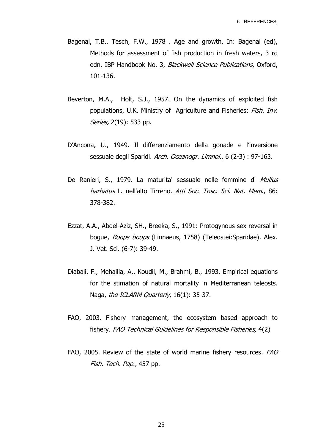- Bagenal, T.B., Tesch, F.W., 1978 . Age and growth. In: Bagenal (ed), Methods for assessment of fish production in fresh waters, 3 rd edn. IBP Handbook No. 3, Blackwell Science Publications, Oxford, 101-136.
- Beverton, M.A., Holt, S.J., 1957. On the dynamics of exploited fish populations, U.K. Ministry of Agriculture and Fisheries: Fish. Inv. Series, 2(19): 533 pp.
- D'Ancona, U., 1949. Il differenziamento della gonade e l'inversione sessuale degli Sparidi. Arch. Oceanogr. Limnol., 6 (2-3): 97-163.
- De Ranieri, S., 1979. La maturita' sessuale nelle femmine di Mullus barbatus L. nell'alto Tirreno. Atti Soc. Tosc. Sci. Nat. Mem., 86: 378-382.
- Ezzat, A.A., Abdel-Aziz, SH., Breeka, S., 1991: Protogynous sex reversal in boque, Boops boops (Linnaeus, 1758) (Teleostei: Sparidae). Alex. J. Vet. Sci. (6-7): 39-49.
- Diabali, F., Mehailia, A., Koudil, M., Brahmi, B., 1993. Empirical equations for the stimation of natural mortality in Mediterranean teleosts. Naga, the ICLARM Quarterly, 16(1): 35-37.
- FAO, 2003. Fishery management, the ecosystem based approach to fishery. FAO Technical Guidelines for Responsible Fisheries, 4(2)
- FAO, 2005. Review of the state of world marine fishery resources. FAO Fish. Tech. Pap., 457 pp.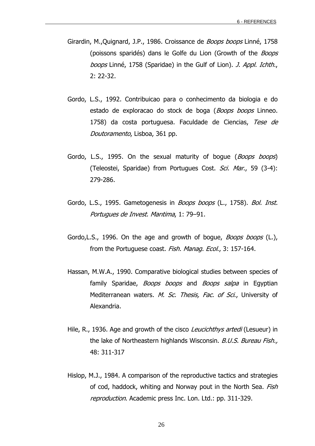- Girardin, M., Quignard, J.P., 1986. Croissance de *Boops boops* Linné, 1758 (poissons sparidés) dans le Golfe du Lion (Growth of the *Boops* boops Linné, 1758 (Sparidae) in the Gulf of Lion). J. Appl. Ichth., 2: 22-32.
- Gordo, L.S., 1992. Contribuicao para o conhecimento da biologia e do estado de exploracao do stock de boga (Boops boops Linneo. 1758) da costa portuguesa. Faculdade de Ciencias, Tese de Doutoramento, Lisboa, 361 pp.
- Gordo, L.S., 1995. On the sexual maturity of boque (*Boops boops*) (Teleostei, Sparidae) from Portugues Cost. Sci. Mar., 59 (3-4): 279-286.
- Gordo, L.S., 1995. Gametogenesis in *Boops boops* (L., 1758). Bol. Inst. Portugues de Invest. Marıtima, 1: 79–91.
- Gordo, L.S., 1996. On the age and growth of bogue, *Boops boops* (L.), from the Portuguese coast. Fish. Manag. Ecol., 3: 157-164.
- Hassan, M.W.A., 1990. Comparative biological studies between species of family Sparidae, *Boops boops* and *Boops salpa* in Egyptian Mediterranean waters. M. Sc. Thesis, Fac. of Sci., University of Alexandria.
- Hile, R., 1936. Age and growth of the cisco *Leucichthys artedi* (Lesueur) in the lake of Northeastern highlands Wisconsin. B.U.S. Bureau Fish., 48: 311-317
- Hislop, M.J., 1984. A comparison of the reproductive tactics and strategies of cod, haddock, whiting and Norway pout in the North Sea. Fish reproduction. Academic press Inc. Lon. Ltd.: pp. 311-329.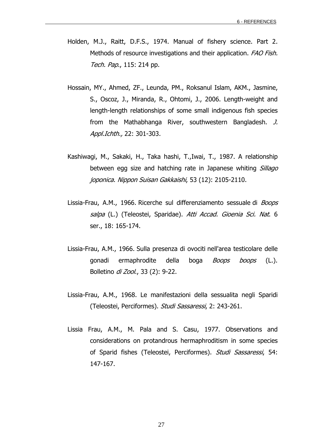- Holden, M.J., Raitt, D.F.S., 1974. Manual of fishery science. Part 2. Methods of resource investigations and their application. FAO Fish. Tech. Pap., 115: 214 pp.
- Hossain, MY., Ahmed, ZF., Leunda, PM., Roksanul Islam, AKM., Jasmine, S., Oscoz, J., Miranda, R., Ohtomi, J., 2006. Length-weight and length-length relationships of some small indigenous fish species from the Mathabhanga River, southwestern Bangladesh. J. Appl.Ichth., 22: 301-303.
- Kashiwagi, M., Sakaki, H., Taka hashi, T.,Iwai, T., 1987. A relationship between egg size and hatching rate in Japanese whiting Sillago joponica. Nippon Suisan Gakkaishi, 53 (12): 2105-2110.
- Lissia-Frau, A.M., 1966. Ricerche sul differenziamento sessuale di Boops salpa (L.) (Teleostei, Sparidae). Atti Accad. Gioenia Sci. Nat. 6 ser., 18: 165-174.
- Lissia-Frau, A.M., 1966. Sulla presenza di ovociti nell'area testicolare delle gonadi ermaphrodite della boga *Boops boops* (L.). Bolletino *di Zool.*, 33 (2): 9-22.
- Lissia-Frau, A.M., 1968. Le manifestazioni della sessualita negli Sparidi (Teleostei, Perciformes). Studi Sassaressi, 2: 243-261.
- Lissia Frau, A.M., M. Pala and S. Casu, 1977. Observations and considerations on protandrous hermaphroditism in some species of Sparid fishes (Teleostei, Perciformes). Studi Sassaressi, 54: 147-167.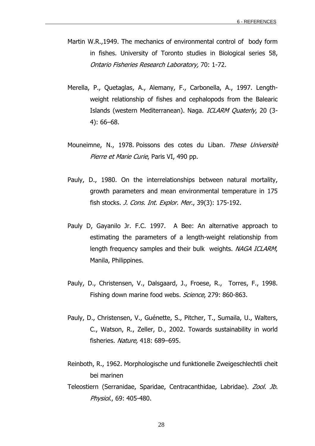- Martin W.R.,1949. The mechanics of environmental control of body form in fishes. University of Toronto studies in Biological series 58, Ontario Fisheries Research Laboratory, 70: 1-72.
- Merella, P., Quetaglas, A., Alemany, F., Carbonella, A., 1997. Lengthweight relationship of fishes and cephalopods from the Balearic Islands (western Mediterranean). Naga. ICLARM Quaterly, 20 (3-4): 66–68.
- Mouneimne, N., 1978. Poissons des cotes du Liban. These Université Pierre et Marie Curie, Paris VI, 490 pp.
- Pauly, D., 1980. On the interrelationships between natural mortality, growth parameters and mean environmental temperature in 175 fish stocks. J. Cons. Int. Explor. Mer., 39(3): 175-192.
- Pauly D, Gayanilo Jr. F.C. 1997. A Bee: An alternative approach to estimating the parameters of a length-weight relationship from length frequency samples and their bulk weights. NAGA ICLARM, Manila, Philippines.
- Pauly, D., Christensen, V., Dalsgaard, J., Froese, R., Torres, F., 1998. Fishing down marine food webs. Science, 279: 860-863.
- Pauly, D., Christensen, V., Guénette, S., Pitcher, T., Sumaila, U., Walters, C., Watson, R., Zeller, D., 2002. Towards sustainability in world fisheries. Nature, 418: 689–695.
- Reinboth, R., 1962. Morphologische und funktionelle Zweigeschlechtli cheit bei marinen
- Teleostiern (Serranidae, Sparidae, Centracanthidae, Labridae). Zool. Jb. Physiol., 69: 405-480.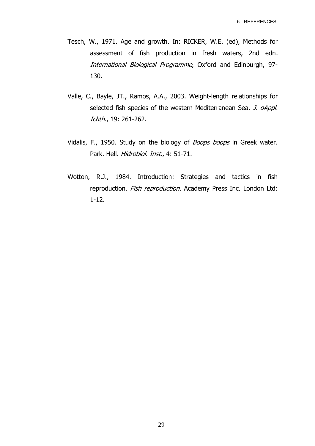- Tesch, W., 1971. Age and growth. In: RICKER, W.E. (ed), Methods for assessment of fish production in fresh waters, 2nd edn. International Biological Programme, Oxford and Edinburgh, 97-130.
- Valle, C., Bayle, JT., Ramos, A.A., 2003. Weight-length relationships for selected fish species of the western Mediterranean Sea. J. oAppl. Ichth., 19: 261-262.
- Vidalis, F., 1950. Study on the biology of *Boops boops* in Greek water. Park. Hell. Hidrobiol. Inst., 4: 51-71.
- Wotton, R.J., 1984. Introduction: Strategies and tactics in fish reproduction. Fish reproduction. Academy Press Inc. London Ltd: 1-12.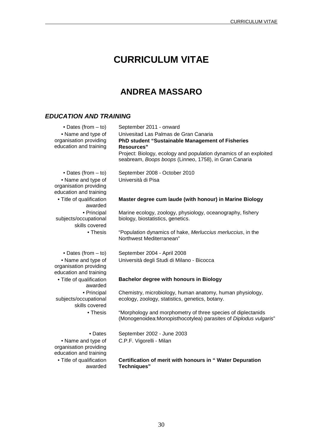## **CURRICULUM VITAE**

### **ANDREA MASSARO**

#### **EDUCATION AND TRAINING**

| • Dates (from $-$ to)                                                  | September 2011 - onward                                                                                                           |
|------------------------------------------------------------------------|-----------------------------------------------------------------------------------------------------------------------------------|
| • Name and type of                                                     | Univesitad Las Palmas de Gran Canaria                                                                                             |
| organisation providing                                                 | PhD student "Sustainable Management of Fisheries                                                                                  |
| education and training                                                 | <b>Resources"</b>                                                                                                                 |
|                                                                        | Project: Biology, ecology and population dynamics of an exploited<br>seabream, Boops boops (Linneo, 1758), in Gran Canaria        |
| • Dates (from $-$ to)                                                  | September 2008 - October 2010                                                                                                     |
| • Name and type of<br>organisation providing<br>education and training | Università di Pisa                                                                                                                |
| • Title of qualification<br>awarded                                    | Master degree cum laude (with honour) in Marine Biology                                                                           |
| • Principal<br>subjects/occupational<br>skills covered                 | Marine ecology, zoology, physiology, oceanography, fishery<br>biology, biostatistics, genetics.                                   |
| • Thesis                                                               | "Population dynamics of hake, Merluccius merluccius, in the<br>Northwest Mediterranean"                                           |
| • Dates (from $-$ to)                                                  | September 2004 - April 2008                                                                                                       |
| • Name and type of<br>organisation providing<br>education and training | Università degli Studi di Milano - Bicocca                                                                                        |
| • Title of qualification<br>awarded                                    | <b>Bachelor degree with honours in Biology</b>                                                                                    |
| • Principal<br>subjects/occupational<br>skills covered                 | Chemistry, microbiology, human anatomy, human physiology,<br>ecology, zoology, statistics, genetics, botany.                      |
| • Thesis                                                               | "Morphology and morphometry of three species of diplectanids<br>(Monogenoidea: Monopisthocotylea) parasites of Diplodus vulgaris" |
| • Dates                                                                | September 2002 - June 2003                                                                                                        |
| • Name and type of<br>organisation providing<br>education and training | C.P.F. Vigorelli - Milan                                                                                                          |
| • Title of qualification<br>awarded                                    | Certification of merit with honours in "Water Depuration<br><b>Techniques"</b>                                                    |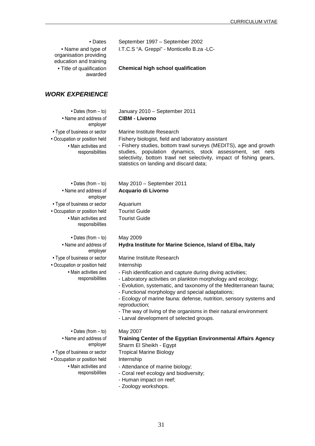| • Dates<br>• Name and type of<br>organisation providing<br>education and training<br>• Title of qualification<br>awarded                                                         | September 1997 - September 2002<br>I.T.C.S "A. Greppi" - Monticello B.za -LC-<br><b>Chemical high school qualification</b>                                                                                                                                                                                                                                                                                                                                                                                                                                                      |
|----------------------------------------------------------------------------------------------------------------------------------------------------------------------------------|---------------------------------------------------------------------------------------------------------------------------------------------------------------------------------------------------------------------------------------------------------------------------------------------------------------------------------------------------------------------------------------------------------------------------------------------------------------------------------------------------------------------------------------------------------------------------------|
| <b>WORK EXPERIENCE</b>                                                                                                                                                           |                                                                                                                                                                                                                                                                                                                                                                                                                                                                                                                                                                                 |
| • Dates (from $-$ to)<br>• Name and address of<br>employer<br>• Type of business or sector<br>• Occupation or position held<br>• Main activities and<br>responsibilities         | January 2010 - September 2011<br><b>CIBM - Livorno</b><br>Marine Institute Research<br>Fishery biologist, field and laboratory assistant<br>- Fishery studies, bottom trawl surveys (MEDITS), age and growth<br>studies, population dynamics, stock assessment, set nets<br>selectivity, bottom trawl net selectivity, impact of fishing gears,<br>statistics on landing and discard data;                                                                                                                                                                                      |
| • Dates (from $-$ to)<br>• Name and address of<br>employer<br>• Type of business or sector<br>• Occupation or position held<br>• Main activities and<br>responsibilities         | May 2010 - September 2011<br>Acquario di Livorno<br>Aquarium<br><b>Tourist Guide</b><br><b>Tourist Guide</b>                                                                                                                                                                                                                                                                                                                                                                                                                                                                    |
| $\bullet$ Dates (from $-$ to)<br>• Name and address of<br>employer<br>• Type of business or sector<br>• Occupation or position held<br>• Main activities and<br>responsibilities | May 2009<br>Hydra Institute for Marine Science, Island of Elba, Italy<br>Marine Institute Research<br>Internship<br>- Fish identification and capture during diving activities;<br>- Laboratory activities on plankton morphology and ecology;<br>- Evolution, systematic, and taxonomy of the Mediterranean fauna;<br>- Functional morphology and special adaptations;<br>- Ecology of marine fauna: defense, nutrition, sensory systems and<br>reproduction;<br>- The way of living of the organisms in their natural environment<br>- Larval development of selected groups. |
| $\bullet$ Dates (from $-$ to)<br>• Name and address of<br>employer<br>• Type of business or sector<br>• Occupation or position held<br>• Main activities and<br>responsibilities | May 2007<br>Training Center of the Egyptian Environmental Affairs Agency<br>Sharm El Sheikh - Egypt<br><b>Tropical Marine Biology</b><br>Internship<br>- Attendance of marine biology;<br>- Coral reef ecology and biodiversity;<br>- Human impact on reef;<br>- Zoology workshops.                                                                                                                                                                                                                                                                                             |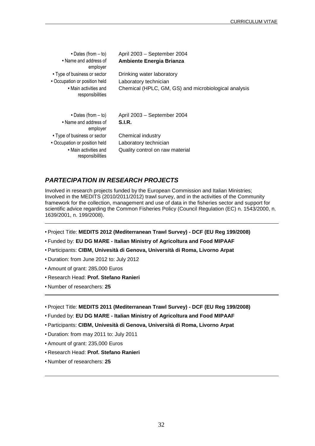| $\bullet$ Dates (from $-$ to)             | April 2003 - September 2004                          |
|-------------------------------------------|------------------------------------------------------|
| • Name and address of<br>employer         | <b>Ambiente Energia Brianza</b>                      |
| • Type of business or sector              | Drinking water laboratory                            |
| • Occupation or position held             | Laboratory technician                                |
| • Main activities and<br>responsibilities | Chemical (HPLC, GM, GS) and microbiological analysis |
| $\bullet$ Dates (from $-$ to)             | April 2003 - September 2004                          |
| • Name and address of<br>employer         | <b>S.I.R.</b>                                        |
| • Type of business or sector              | Chemical industry                                    |
| • Occupation or position held             | Laboratory technician                                |
| • Main activities and<br>responsibilities | Quality control on raw material                      |

#### **PARTECIPATION IN RESEARCH PROJECTS**

Involved in research projects funded by the European Commission and Italian Ministries; Involved in the MEDITS (2010/2011/2012) trawl survey, and in the activities of the Community framework for the collection, management and use of data in the fisheries sector and support for scientific advice regarding the Common Fisheries Policy (Council Regulation (EC) n. 1543/2000, n. 1639/2001, n. 199/2008).

**•** Project Title: **MEDITS 2012 (Mediterranean Trawl Survey) - DCF (EU Reg 199/2008)** 

- Funded by: **EU DG MARE Italian Ministry of Agricoltura and Food MIPAAF**
- Participants: **CIBM, Univesità di Genova, Università di Roma, Livorno Arpat**
- Duration: from June 2012 to: July 2012
- Amount of grant: 285,000 Euros
- Research Head: **Prof. Stefano Ranieri**
- Number of researchers: **25**

**•** Project Title: **MEDITS 2011 (Mediterranean Trawl Survey) - DCF (EU Reg 199/2008)** 

- Funded by: **EU DG MARE Italian Ministry of Agricoltura and Food MIPAAF**
- Participants: **CIBM, Univesità di Genova, Università di Roma, Livorno Arpat**
- Duration: from may 2011 to: July 2011
- Amount of grant: 235,000 Euros
- Research Head: **Prof. Stefano Ranieri**
- Number of researchers: **25**